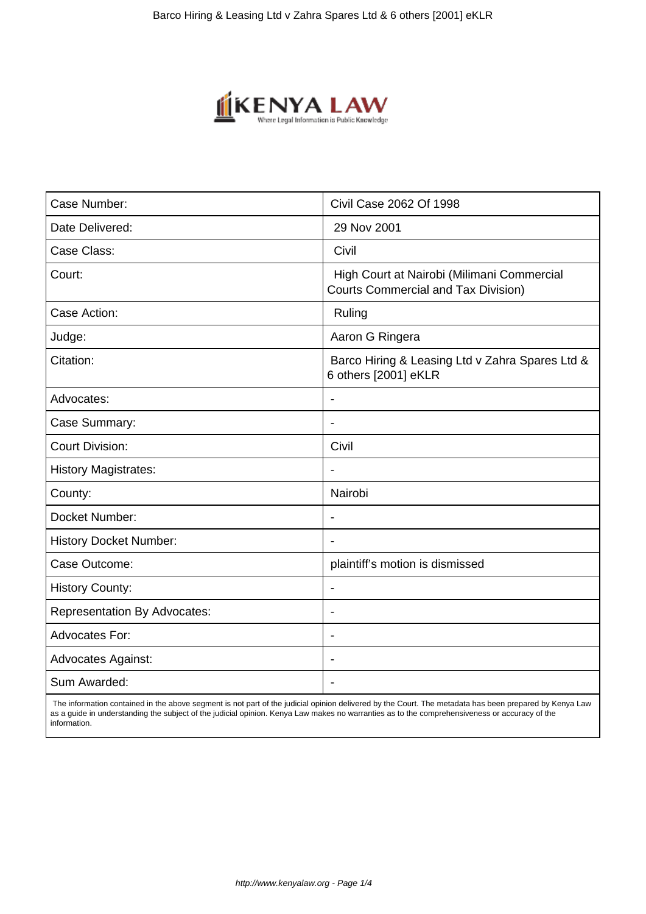

| Case Number:                        | Civil Case 2062 Of 1998                                                                  |
|-------------------------------------|------------------------------------------------------------------------------------------|
| Date Delivered:                     | 29 Nov 2001                                                                              |
| Case Class:                         | Civil                                                                                    |
| Court:                              | High Court at Nairobi (Milimani Commercial<br><b>Courts Commercial and Tax Division)</b> |
| Case Action:                        | Ruling                                                                                   |
| Judge:                              | Aaron G Ringera                                                                          |
| Citation:                           | Barco Hiring & Leasing Ltd v Zahra Spares Ltd &<br>6 others [2001] eKLR                  |
| Advocates:                          |                                                                                          |
| Case Summary:                       | $\blacksquare$                                                                           |
| <b>Court Division:</b>              | Civil                                                                                    |
| <b>History Magistrates:</b>         |                                                                                          |
| County:                             | Nairobi                                                                                  |
| Docket Number:                      | $\blacksquare$                                                                           |
| <b>History Docket Number:</b>       |                                                                                          |
| Case Outcome:                       | plaintiff's motion is dismissed                                                          |
| <b>History County:</b>              |                                                                                          |
| <b>Representation By Advocates:</b> | $\overline{\phantom{a}}$                                                                 |
| <b>Advocates For:</b>               |                                                                                          |
| <b>Advocates Against:</b>           |                                                                                          |
| Sum Awarded:                        |                                                                                          |

 The information contained in the above segment is not part of the judicial opinion delivered by the Court. The metadata has been prepared by Kenya Law as a guide in understanding the subject of the judicial opinion. Kenya Law makes no warranties as to the comprehensiveness or accuracy of the information.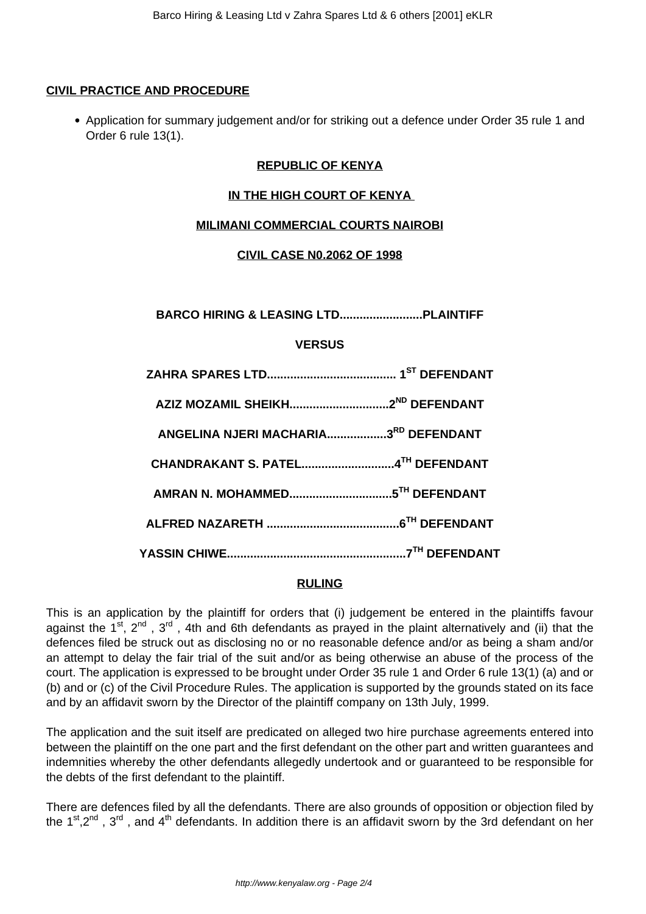### **CIVIL PRACTICE AND PROCEDURE**

Application for summary judgement and/or for striking out a defence under Order 35 rule 1 and Order 6 rule 13(1).

# **REPUBLIC OF KENYA**

### **IN THE HIGH COURT OF KENYA**

### **MILIMANI COMMERCIAL COURTS NAIROBI**

**CIVIL CASE N0.2062 OF 1998**

| <b>VERSUS</b>                        |  |
|--------------------------------------|--|
|                                      |  |
|                                      |  |
| ANGELINA NJERI MACHARIA3RD DEFENDANT |  |
| CHANDRAKANT S. PATEL4TH DEFENDANT    |  |
|                                      |  |
|                                      |  |
|                                      |  |

# **RULING**

This is an application by the plaintiff for orders that (i) judgement be entered in the plaintiffs favour against the  $1^{st}$ ,  $2^{nd}$ ,  $3^{rd}$ , 4th and 6th defendants as prayed in the plaint alternatively and (ii) that the defences filed be struck out as disclosing no or no reasonable defence and/or as being a sham and/or an attempt to delay the fair trial of the suit and/or as being otherwise an abuse of the process of the court. The application is expressed to be brought under Order 35 rule 1 and Order 6 rule 13(1) (a) and or (b) and or (c) of the Civil Procedure Rules. The application is supported by the grounds stated on its face and by an affidavit sworn by the Director of the plaintiff company on 13th July, 1999.

The application and the suit itself are predicated on alleged two hire purchase agreements entered into between the plaintiff on the one part and the first defendant on the other part and written guarantees and indemnities whereby the other defendants allegedly undertook and or guaranteed to be responsible for the debts of the first defendant to the plaintiff.

There are defences filed by all the defendants. There are also grounds of opposition or objection filed by the 1<sup>st</sup>,2<sup>nd</sup>, 3<sup>rd</sup>, and 4<sup>th</sup> defendants. In addition there is an affidavit sworn by the 3rd defendant on her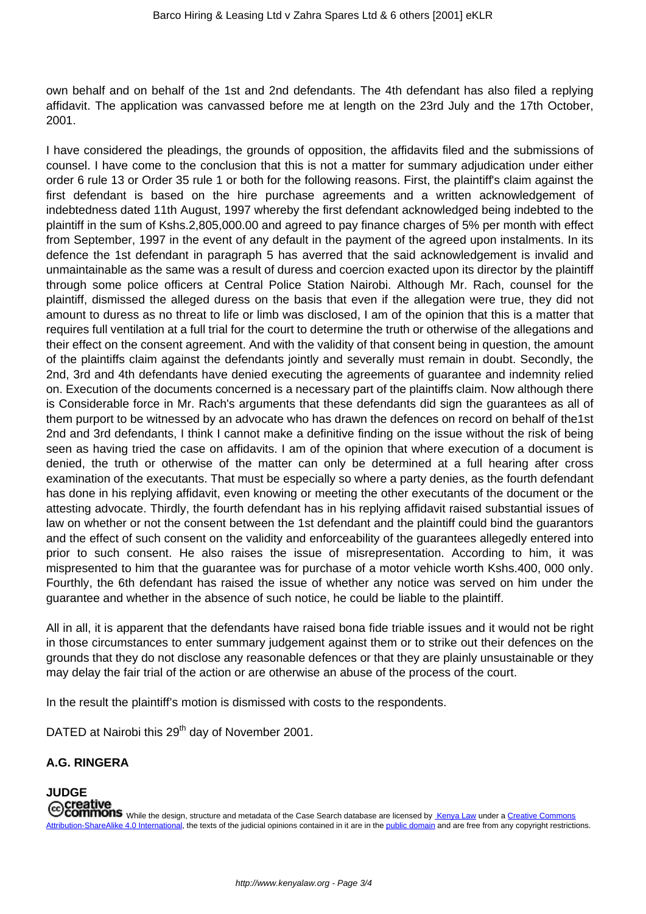own behalf and on behalf of the 1st and 2nd defendants. The 4th defendant has also filed a replying affidavit. The application was canvassed before me at length on the 23rd July and the 17th October, 2001.

I have considered the pleadings, the grounds of opposition, the affidavits filed and the submissions of counsel. I have come to the conclusion that this is not a matter for summary adjudication under either order 6 rule 13 or Order 35 rule 1 or both for the following reasons. First, the plaintiff's claim against the first defendant is based on the hire purchase agreements and a written acknowledgement of indebtedness dated 11th August, 1997 whereby the first defendant acknowledged being indebted to the plaintiff in the sum of Kshs.2,805,000.00 and agreed to pay finance charges of 5% per month with effect from September, 1997 in the event of any default in the payment of the agreed upon instalments. In its defence the 1st defendant in paragraph 5 has averred that the said acknowledgement is invalid and unmaintainable as the same was a result of duress and coercion exacted upon its director by the plaintiff through some police officers at Central Police Station Nairobi. Although Mr. Rach, counsel for the plaintiff, dismissed the alleged duress on the basis that even if the allegation were true, they did not amount to duress as no threat to life or limb was disclosed, I am of the opinion that this is a matter that requires full ventilation at a full trial for the court to determine the truth or otherwise of the allegations and their effect on the consent agreement. And with the validity of that consent being in question, the amount of the plaintiffs claim against the defendants jointly and severally must remain in doubt. Secondly, the 2nd, 3rd and 4th defendants have denied executing the agreements of guarantee and indemnity relied on. Execution of the documents concerned is a necessary part of the plaintiffs claim. Now although there is Considerable force in Mr. Rach's arguments that these defendants did sign the guarantees as all of them purport to be witnessed by an advocate who has drawn the defences on record on behalf of the1st 2nd and 3rd defendants, I think I cannot make a definitive finding on the issue without the risk of being seen as having tried the case on affidavits. I am of the opinion that where execution of a document is denied, the truth or otherwise of the matter can only be determined at a full hearing after cross examination of the executants. That must be especially so where a party denies, as the fourth defendant has done in his replying affidavit, even knowing or meeting the other executants of the document or the attesting advocate. Thirdly, the fourth defendant has in his replying affidavit raised substantial issues of law on whether or not the consent between the 1st defendant and the plaintiff could bind the guarantors and the effect of such consent on the validity and enforceability of the guarantees allegedly entered into prior to such consent. He also raises the issue of misrepresentation. According to him, it was mispresented to him that the guarantee was for purchase of a motor vehicle worth Kshs.400, 000 only. Fourthly, the 6th defendant has raised the issue of whether any notice was served on him under the guarantee and whether in the absence of such notice, he could be liable to the plaintiff.

All in all, it is apparent that the defendants have raised bona fide triable issues and it would not be right in those circumstances to enter summary judgement against them or to strike out their defences on the grounds that they do not disclose any reasonable defences or that they are plainly unsustainable or they may delay the fair trial of the action or are otherwise an abuse of the process of the court.

In the result the plaintiff's motion is dismissed with costs to the respondents.

DATED at Nairobi this 29<sup>th</sup> day of November 2001.

# **A.G. RINGERA**